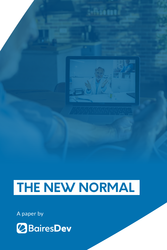



## **THE NEW NORMAL**

A paper by

# *<u>OBairesDev</u>*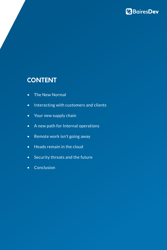

## **CONTENT**

- [The New Normal](#page-2-0)
- [Interacting with customers and clients](#page-3-0)
- [Your new supply chain](#page-4-0)
- [A new path for Internal operations](#page-6-0)
- [Remote work isn't going away](#page-8-0)
- [Heads remain in the cloud](#page-10-0)
- [Security threats and the future](#page-12-0)
- [Conclusion](#page-14-0)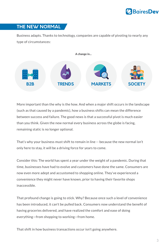

### <span id="page-2-0"></span>**THE NEW NORMAL**

Business adapts. Thanks to technology, companies are capable of pivoting to nearly any type of circumstances:

More important than the why is the how. And when a major shift occurs in the landscape (such as that caused by a pandemic), how a business shifts can mean the difference between success and failure. The good news is that a successful pivot is much easier than you think. Given the new normal every business across the globe is facing, remaining static is no longer optional.

That's why your business must shift to remain in line -- because the new normal isn't only here to stay, it will be a driving force for years to come.

Consider this: The world has spent a year under the weight of a pandemic. During that time, businesses have had to evolve and customers have done the same. Consumers are now even more adept and accustomed to shopping online. They've experienced a convenience they might never have known, prior to having their favorite shops inaccessible.

That profound change is going to stick. Why? Because once such a level of convenience has been introduced, it can't be pulled back. Consumers now understand the benefit of having groceries delivered, and have realized the comfort and ease of doing everything—from shopping to working—from home.

That shift in how business transactions occur isn't going anywhere.

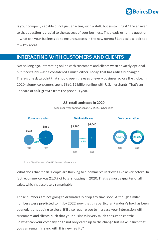

<span id="page-3-0"></span>Is your company capable of not just enacting such a shift, but sustaining it? The answer to that question is crucial to the success of your business. That leads us to the question -- what can your business do to ensure success in the new normal? Let's take a look at a few key areas.

### **INTERACTING WITH CUSTOMERS AND CLIENTS**

Not so long ago, interacting online with customers and clients wasn't exactly optional, but it certainly wasn't considered a must, either. Today, that has radically changed. There's one data point that should open the eyes of every business across the globe. In 2020 (alone), consumers spent \$861.12 billion online with U.S. merchants. That's an unheard of 44% growth from the previous year.

What does that mean? People are flocking to e-commerce in droves like never before. In fact, ecommerce was 21.3% of total shopping in 2020. That's almost a quarter of all sales, which is absolutely remarkable.

Those numbers are not going to dramatically drop any time soon. Although similar numbers were predicted to hit by 2022, now that this particular Pandora's box has been opened, it's not going to close. It'll also require you to increase your interaction with customers and clients, such that your business is very much consumer-centric. So what can your company do to not only catch up to the change but make it such that you can remain in sync with this new reality?

#### U.S. retail landscape in 2020

Year-over-year comparison 2019-2020, in \$billions

Source: Digital Commerce 360, U.S. Commerce Department

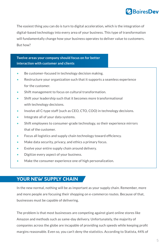

<span id="page-4-0"></span>The easiest thing you can do is turn to digital acceleration, which is the integration of digital-based technology into every area of your business. This type of transformation will fundamentally change how your business operates to deliver value to customers. But how?

### **Twelve areas your company should focus on for better interaction with customer and clients**

- Be customer-focused in technology decision making.
- Restructure your organization such that it supports a seamless experience for the customer.
- Shift management to focus on cultural transformation.
- Shift your leadership such that it becomes more transformational with technology decisions.
- Involve all C-type staff (such as CEO, CTO, COO) in technology decisions.
- Integrate all of your data systems.
- Shift employees to consumer-grade technology, so their experience mirrors that of the customer.
- Focus all logistics and supply chain technology toward efficiency.
- Make data security, privacy, and ethics a primary focus.
- Evolve your entire supply chain around delivery.
- Digitize every aspect of your business.
- Make the consumer experience one of high personalization.

### **YOUR NEW SUPPLY CHAIN**

In the new normal, nothing will be as important as your supply chain. Remember, more and more people are focusing their shopping on e-commerce routes. Because of that, businesses must be capable of delivering.

The problem is that most businesses are competing against giant online stores like Amazon and methods such as same-day delivery. Unfortunately, the majority of companies across the globe are incapable of providing such speeds while keeping profit margins reasonable. Even so, you can't deny the statistics. According to Statista, 44% of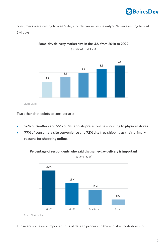consumers were willing to wait 2 days for deliveries, while only 25% were willing to wait 3-4 days.

Two other data points to consider are:

- **• 56% of GenXers and 55% of Millennials prefer online shopping to physical stores.**
- **• 77% of consumers cite convenience and 72% cite free shipping as their primary reasons for shopping online.**

#### Those are some very important bits of data to process. In the end, it all boils down to

### Same-day delivery market size in the U.S. from 2018 to 2022

(in billion U.S. dollars)



Percentage of respondents who said that same-day delivery is important (by generation)



Source: Bizrate Insights

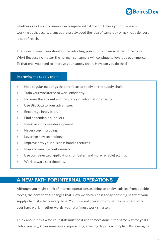<span id="page-6-0"></span>whether or not your business can compete with Amazon. Unless your business is working at that scale, chances are pretty good the idea of same-day or next-day delivery is out of reach.

That doesn't mean you shouldn't be retooling your supply chain so it can come close. Why? Because no matter the normal, consumers will continue to leverage ecommerce. To that end, you need to improve your supply chain. How can you do that?

#### **Improving the supply chain**

- Hold regular meetings that are focused solely on the supply chain.
- Train your workforce to work efficiently.
- Increase the amount and frequency of information sharing.
- Use Big Data to your advantage.
- Encourage innovation.
- Find dependable suppliers.
- Invest in employee development.
- Never stop improving.
- Leverage new technology.
- Improve how your business handles returns.
- Plan and execute continuously.
- Use containerized applications for faster (and more reliable) scaling.
- Work toward sustainability.

### **A NEW PATH FOR INTERNAL OPERATIONS**

Although you might think of internal operations as being an entity isolated from outside

forces, the new normal changes that. How we do business today doesn't just affect your

supply chain, it affects everything. Your internal operations must choose smart work

over hard work. In other words, your staff must work smarter.

Think about it this way: Your staff must do X and they've done X the same way for years. Unfortunately, X can sometimes require long, grueling days to accomplish. By leveraging

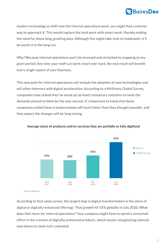

modern technology to shift how the internal operations work, you might find a smarter way to approach X. This would replace the hard work with smart work, thereby ending the need for those long, grueling days. Although this might take time to implement, it'll be worth it in the long run.

Why? Because internal operations won't be stressed and stretched to snapping at any given period. Any time your staff can work smart over hard, the end result will benefit every single aspect of your business.

This new path for internal operations will include the adoption of new technologies and will often intersect with digital acceleration. According to a McKinsey Global Survey, companies have stated they've stood up (at least) temporary solutions to meet the demands placed on them by the new normal. It's important to know that these companies pulled these transformations off much faster than they thought possible, and they expect the changes will be long lasting.

According to that same survey, the largest leap in digital transformation is the share of digital or digitally-enhanced offerings. That growth hit 55% globally in July 2020. What does that mean for internal operations? Your company might have to spend a concerted effort in the creation of digitally-enhanced products, which means reorganizing internal operations to meet such a demand.

#### Average share of products and/or services that are partially or fully digitized

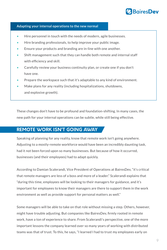- Hire personnel in touch with the needs of modern, agile businesses.
- Hire branding professionals, to help improve your public image.
- Ensure your products and branding are in-line with one another.
- Shift management such that they can handle both remote and internal staff with efficiency and skill.
- Carefully review your business continuity plan, or create one if you don't have one.
- Prepare the workspace such that it's adaptable to any kind of environment.
- Make plans for any reality (including hospitalizations, shutdowns, and explosive growth).



### <span id="page-8-0"></span>**Adapting your internal operations to the new normal**

These changes don't have to be profound and foundation-shifting. In many cases, the new path for your internal operations can be subtle, while still being effective.

### **REMOTE WORK ISN'T GOING AWAY**

Speaking of planning for any reality, know that remote work isn't going anywhere. Adjusting to a mostly-remote workforce would have been an incredibly daunting task, had it not been forced upon so many businesses. But because of how it occurred, businesses (and their employees) had to adapt quickly.

According to Damian Scalerandi, Vice President of Operations at BairesDev, "it's critical that remote managers are less of a boss and more of a leader." Scalerandi explains that "during this time, employees will be looking to their managers for guidance, and it's

important for employees to know their managers are there to support them in the work

environment as well as provide support for personal matters as well."

Some managers will be able to take on that role without missing a step. Others, however, might have trouble adjusting. But companies like BairesDev, firmly rooted in remote work, have a ton of experience to share. From Scalerandi's perspective, one of the more important lessons the company learned over so many years of working with distributed teams was that of trust. To this, he says, "I learned I had to trust my employees early on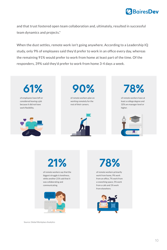

and that trust fostered open team collaboration and, ultimately, resulted in successful team dynamics and projects."

When the dust settles, remote work isn't going anywhere. According to a Leadership IQ study, only 9% of employees said they'd prefer to work in an office every day, whereas the remaining 91% would prefer to work from home at least part of the time. Of the responders, 39% said they'd prefer to work from home 3-4 days a week.

> of remote workers say that the biggest struggle is loneliness, while another 21% said that it was collaborating and communicating.



**21%**

of remote workers primarily work from home, 9% work from an office, 7% work from a coworking space, 5% work from a cafe and 1% work



**78%**

Source: Global Workplace Analytics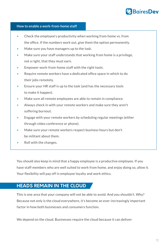- Check the employee's productivity when working from home vs. from the office. If the numbers work out, give them the option permanently.
- Make sure you have managers up to the task.
- Make sure your staff understands that working from home is a privilege, not a right, that they must earn.
- Empower work-from-home staff with the right tools.
- Require remote workers have a dedicated office space in which to do their jobs remotely.
- Ensure your HR staff is up to the task (and has the necessary tools to make it happen).
- Make sure all remote employees are able to remain in compliance.
- Always check in with your remote workers and make sure they aren't suffering burnout.
- Engage with your remote workers by scheduling regular meetings (either through video conference or phone).
- Make sure your remote workers respect business hours but don't be militant about them.
- Roll with the changes.

#### <span id="page-10-0"></span>**How to enable a work-from-home staff**

You should also keep in mind that a happy employee is a productive employee. If you have staff members who are well suited to work from home, and enjoy doing so, allow it. Your flexibility will pay off in employee loyalty and work ethics.

### **HEADS REMAIN IN THE CLOUD**

This is one area that your company will not be able to avoid. And you shouldn't. Why?

Because not only is the cloud everywhere, it's become an ever-increasingly important

factor in how both businesses and consumers function.

We depend on the cloud. Businesses require the cloud because it can deliver:

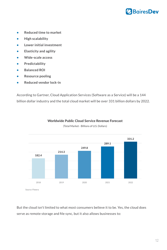

- **Reduced time to market**
- **High scalability**
- **Lower initial investment**
- **Elasticity and agility**
- **Wide-scale access**
- **Predictability**
- **Balanced ROI**
- **Resource pooling**
- **Reduced vendor lock-in**

According to Gartner, Cloud Application Services (Software as a Service) will be a 144 billion dollar industry and the total cloud market will be over 331 billion dollars by 2022.

### But the cloud isn't limited to what most consumers believe it to be. Yes, the cloud does serve as remote storage and file sync, but it also allows businesses to:



(Total Market - Billions of U.S. Dollars)



Source: Flexera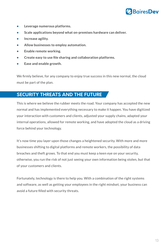![](_page_12_Picture_0.jpeg)

- <span id="page-12-0"></span>**• Leverage numerous platforms.**
- **Scale applications beyond what on-premises hardware can deliver.**
- **Increase agility.**
- **Allow businesses to employ automation.**
- **Enable remote working.**
- **Create easy to use file sharing and collaboration platforms.**
- **Ease and enable growth.**

We firmly believe, for any company to enjoy true success in this new normal, the cloud must be part of the plan.

### **SECURITY THREATS AND THE FUTURE**

This is where we believe the rubber meets the road. Your company has accepted the new normal and has implemented everything necessary to make it happen. You have digitized your interaction with customers and clients, adjusted your supply chains, adapted your internal operations, allowed for remote working, and have adopted the cloud as a driving force behind your technology.

It's now time you layer upon those changes a heightened security. With more and more businesses shifting to digital platforms and remote workers, the possibility of data breaches and theft grows. To that end you must keep a keen eye on your security, otherwise, you run the risk of not just seeing your own information being stolen, but that of your customers and clients.

Fortunately, technology is there to help you. With a combination of the right systems and software, as well as getting your employees in the right mindset, your business can

#### avoid a future filled with security threats.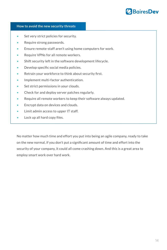- Set very strict policies for security.
- Require strong passwords.
- Ensure remote-staff aren't using home computers for work.
- Require VPNs for all remote workers.
- Shift security left in the software development lifecycle.
- Develop specific social media policies.
- Retrain your workforce to think about security first.
- Implement multi-factor authentication.
- Set strict permissions in your clouds.
- Check for and deploy server patches regularly.
- Require all remote workers to keep their software always updated.
- Encrypt data on devices and clouds.
- Limit admin access to upper IT staff.
- Lock up all hard copy files.

![](_page_13_Picture_0.jpeg)

#### **How to avoid the new security threats**

No matter how much time and effort you put into being an agile company, ready to take on the new normal, if you don't put a significant amount of time and effort into the security of your company, it could all come crashing down. And this is a great area to employ smart work over hard work.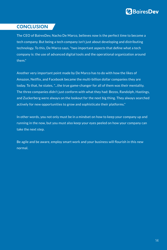![](_page_14_Picture_0.jpeg)

### <span id="page-14-0"></span>**CONCLUSION**

The CEO of BairesDev, Nacho De Marco, believes now is the perfect time to become a tech company. But being a tech company isn't just about developing and distributing technology. To this, De Marco says, "two important aspects that define what a tech company is: the use of advanced digital tools and the operational organization around them."

Another very important point made by De Marco has to do with how the likes of Amazon, Netflix, and Facebook became the multi-billion dollar companies they are today. To that, he states, "...the true game-changer for all of them was their mentality. The three companies didn't just conform with what they had: Bezos, Randolph, Hastings, and Zuckerberg were always on the lookout for the next big thing. They always searched actively for new opportunities to grow and sophisticate their platforms."

In other words, you not only must be in a mindset on how to keep your company up and running in the now, but you must also keep your eyes peeled on how your company can take the next step.

Be agile and be aware, employ smart work and your business will flourish in this new normal.